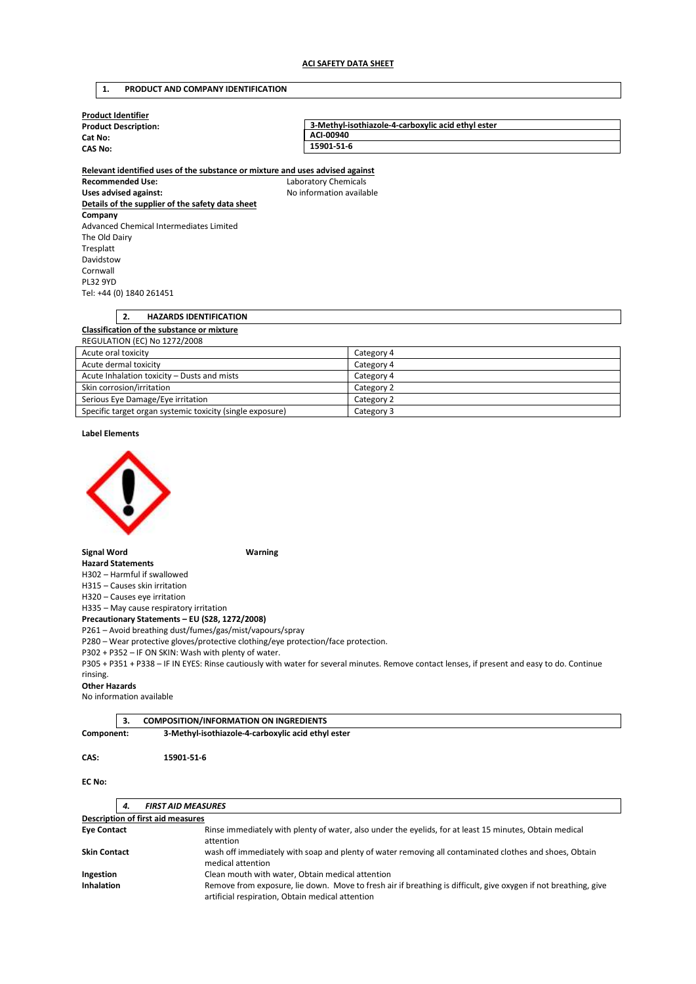## **1. PRODUCT AND COMPANY IDENTIFICATION**

| <b>Product Identifier</b>   |                                                    |
|-----------------------------|----------------------------------------------------|
| <b>Product Description:</b> | 3-Methyl-isothiazole-4-carboxylic acid ethyl ester |
| Cat No:                     | ACI-00940                                          |
| <b>CAS No:</b>              | 15901-51-6                                         |
|                             |                                                    |

**Relevant identified uses of the substance or mixture and uses advised against Recommended Use:** Laboratory Chemicals Uses advised against: **No information available Details of the supplier of the safety data sheet Company**  Advanced Chemical Intermediates Limited The Old Dairy Tresplatt Davidstow Cornwall PL32 9YD Tel: +44 (0) 1840 261451

### **2. HAZARDS IDENTIFICATION Classification of the substance or mixture**  REGULATION (EC) No 1272/2008 Acute oral toxicity Category 4

|                                                           | $-$        |
|-----------------------------------------------------------|------------|
| Acute dermal toxicity                                     | Category 4 |
| Acute Inhalation toxicity – Dusts and mists               | Category 4 |
| Skin corrosion/irritation                                 | Category 2 |
| Serious Eye Damage/Eye irritation                         | Category 2 |
| Specific target organ systemic toxicity (single exposure) | Category 3 |

**Label Elements** 



**Signal Word Warning** 

**Hazard Statements**  H302 – Harmful if swallowed

H315 – Causes skin irritation

H320 – Causes eye irritation

H335 – May cause respiratory irritation

**Precautionary Statements – EU (S28, 1272/2008)** 

P261 – Avoid breathing dust/fumes/gas/mist/vapours/spray

P280 – Wear protective gloves/protective clothing/eye protection/face protection.

P302 + P352 – IF ON SKIN: Wash with plenty of water.

P305 + P351 + P338 – IF IN EYES: Rinse cautiously with water for several minutes. Remove contact lenses, if present and easy to do. Continue rinsing.

#### **Other Hazards**

No information available

|            | <b>COMPOSITION/INFORMATION ON INGREDIENTS</b>      |  |
|------------|----------------------------------------------------|--|
| Component: | 3-Methyl-isothiazole-4-carboxylic acid ethyl ester |  |

**CAS: 15901-51-6** 

### **EC No:**

|                                   | 4.                                                                                                                                                                  | <b>FIRST AID MEASURES</b>                                                                                                   |
|-----------------------------------|---------------------------------------------------------------------------------------------------------------------------------------------------------------------|-----------------------------------------------------------------------------------------------------------------------------|
| Description of first aid measures |                                                                                                                                                                     |                                                                                                                             |
| <b>Eye Contact</b>                |                                                                                                                                                                     | Rinse immediately with plenty of water, also under the eyelids, for at least 15 minutes, Obtain medical<br>attention        |
| <b>Skin Contact</b>               |                                                                                                                                                                     | wash off immediately with soap and plenty of water removing all contaminated clothes and shoes, Obtain<br>medical attention |
| Ingestion                         | Clean mouth with water, Obtain medical attention                                                                                                                    |                                                                                                                             |
| <b>Inhalation</b>                 | Remove from exposure, lie down. Move to fresh air if breathing is difficult, give oxygen if not breathing, give<br>artificial respiration, Obtain medical attention |                                                                                                                             |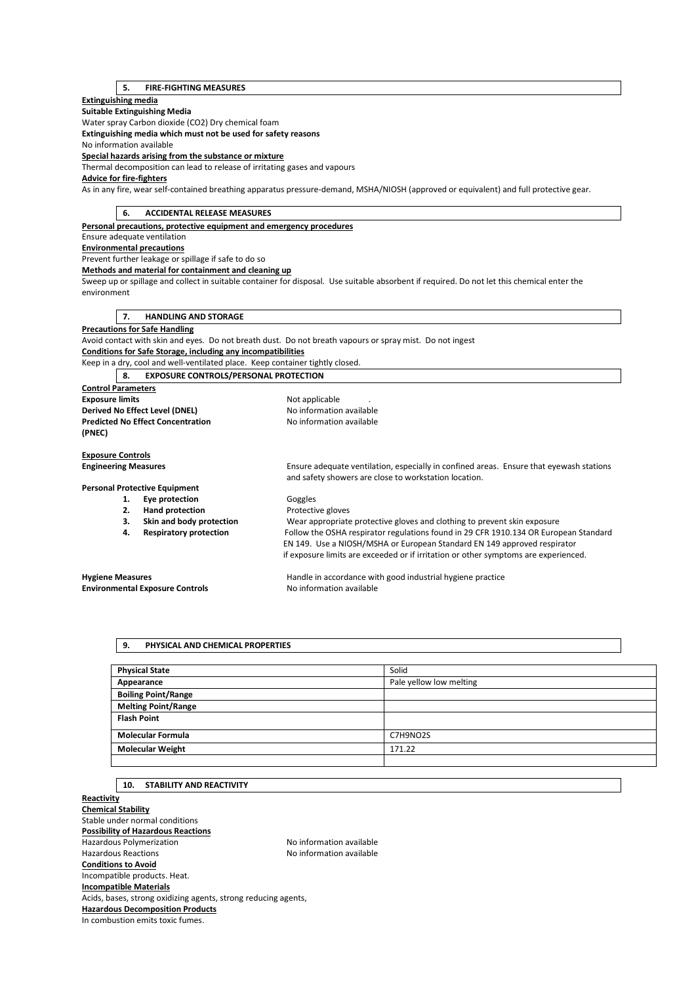## **5. FIRE-FIGHTING MEASURES**

### **Extinguishing media**

**Suitable Extinguishing Media** 

Water spray Carbon dioxide (CO2) Dry chemical foam

**Extinguishing media which must not be used for safety reasons** 

No information available

**Special hazards arising from the substance or mixture** 

Thermal decomposition can lead to release of irritating gases and vapours

## **Advice for fire-fighters**

As in any fire, wear self-contained breathing apparatus pressure-demand, MSHA/NIOSH (approved or equivalent) and full protective gear.

| 6.                                       | <b>ACCIDENTAL RELEASE MEASURES</b>                                            |                                                                                                                                                  |
|------------------------------------------|-------------------------------------------------------------------------------|--------------------------------------------------------------------------------------------------------------------------------------------------|
|                                          | Personal precautions, protective equipment and emergency procedures           |                                                                                                                                                  |
| Ensure adequate ventilation              |                                                                               |                                                                                                                                                  |
| <b>Environmental precautions</b>         |                                                                               |                                                                                                                                                  |
|                                          | Prevent further leakage or spillage if safe to do so                          |                                                                                                                                                  |
|                                          | Methods and material for containment and cleaning up                          |                                                                                                                                                  |
|                                          |                                                                               | Sweep up or spillage and collect in suitable container for disposal. Use suitable absorbent if required. Do not let this chemical enter the      |
| environment                              |                                                                               |                                                                                                                                                  |
|                                          |                                                                               |                                                                                                                                                  |
| 7.                                       | <b>HANDLING AND STORAGE</b>                                                   |                                                                                                                                                  |
| <b>Precautions for Safe Handling</b>     |                                                                               |                                                                                                                                                  |
|                                          |                                                                               | Avoid contact with skin and eyes. Do not breath dust. Do not breath vapours or spray mist. Do not ingest                                         |
|                                          | Conditions for Safe Storage, including any incompatibilities                  |                                                                                                                                                  |
|                                          | Keep in a dry, cool and well-ventilated place. Keep container tightly closed. |                                                                                                                                                  |
| 8.                                       | <b>EXPOSURE CONTROLS/PERSONAL PROTECTION</b>                                  |                                                                                                                                                  |
| <b>Control Parameters</b>                |                                                                               |                                                                                                                                                  |
| <b>Exposure limits</b>                   |                                                                               | Not applicable                                                                                                                                   |
| Derived No Effect Level (DNEL)           |                                                                               | No information available                                                                                                                         |
| <b>Predicted No Effect Concentration</b> |                                                                               | No information available                                                                                                                         |
| (PNEC)                                   |                                                                               |                                                                                                                                                  |
|                                          |                                                                               |                                                                                                                                                  |
| <b>Exposure Controls</b>                 |                                                                               |                                                                                                                                                  |
| <b>Engineering Measures</b>              |                                                                               | Ensure adequate ventilation, especially in confined areas. Ensure that eyewash stations<br>and safety showers are close to workstation location. |
| <b>Personal Protective Equipment</b>     |                                                                               |                                                                                                                                                  |
| 1.                                       | Eye protection                                                                | Goggles                                                                                                                                          |
| 2.                                       | <b>Hand protection</b>                                                        | Protective gloves                                                                                                                                |
| 3.                                       | Skin and body protection                                                      | Wear appropriate protective gloves and clothing to prevent skin exposure                                                                         |
| 4.                                       | <b>Respiratory protection</b>                                                 | Follow the OSHA respirator regulations found in 29 CFR 1910.134 OR European Standard                                                             |
|                                          |                                                                               | EN 149. Use a NIOSH/MSHA or European Standard EN 149 approved respirator                                                                         |
|                                          |                                                                               | if exposure limits are exceeded or if irritation or other symptoms are experienced.                                                              |
| <b>Hygiene Measures</b>                  |                                                                               | Handle in accordance with good industrial hygiene practice                                                                                       |
| <b>Environmental Exposure Controls</b>   |                                                                               | No information available                                                                                                                         |
|                                          |                                                                               |                                                                                                                                                  |

# **9. PHYSICAL AND CHEMICAL PROPERTIES**

| <b>Physical State</b>      | Solid                   |
|----------------------------|-------------------------|
| Appearance                 | Pale yellow low melting |
| <b>Boiling Point/Range</b> |                         |
| <b>Melting Point/Range</b> |                         |
| <b>Flash Point</b>         |                         |
|                            |                         |
| <b>Molecular Formula</b>   | C7H9NO2S                |
| <b>Molecular Weight</b>    | 171.22                  |
|                            |                         |

## **10. STABILITY AND REACTIVITY**

**Reactivity Chemical Stability**  Stable under normal conditions **Possibility of Hazardous Reactions**  Hazardous Polymerization and the Society of the No information available<br>Hazardous Reactions available No information available No information available **Conditions to Avoid**  Incompatible products. Heat. **Incompatible Materials**  Acids, bases, strong oxidizing agents, strong reducing agents, **Hazardous Decomposition Products**  In combustion emits toxic fumes.